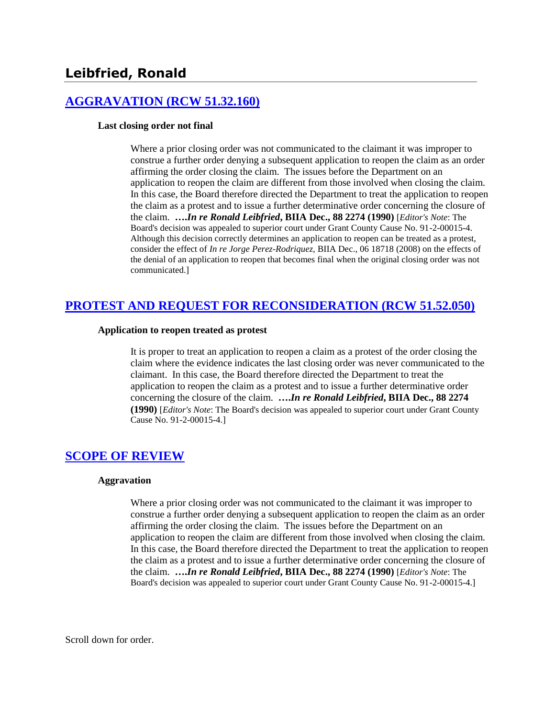# **[AGGRAVATION \(RCW 51.32.160\)](http://www.biia.wa.gov/SDSubjectIndex.html#AGGRAVATION)**

### **Last closing order not final**

Where a prior closing order was not communicated to the claimant it was improper to construe a further order denying a subsequent application to reopen the claim as an order affirming the order closing the claim. The issues before the Department on an application to reopen the claim are different from those involved when closing the claim. In this case, the Board therefore directed the Department to treat the application to reopen the claim as a protest and to issue a further determinative order concerning the closure of the claim. **….***In re Ronald Leibfried***, BIIA Dec., 88 2274 (1990)** [*Editor's Note*: The Board's decision was appealed to superior court under Grant County Cause No. 91-2-00015-4. Although this decision correctly determines an application to reopen can be treated as a protest, consider the effect of *In re Jorge Perez-Rodriquez,* BIIA Dec., 06 18718 (2008) on the effects of the denial of an application to reopen that becomes final when the original closing order was not communicated.]

# **[PROTEST AND REQUEST FOR RECONSIDERATION \(RCW 51.52.050\)](http://www.biia.wa.gov/SDSubjectIndex.html#PROTEST_AND_REQUEST_FOR_RECONSIDERATION)**

### **Application to reopen treated as protest**

It is proper to treat an application to reopen a claim as a protest of the order closing the claim where the evidence indicates the last closing order was never communicated to the claimant. In this case, the Board therefore directed the Department to treat the application to reopen the claim as a protest and to issue a further determinative order concerning the closure of the claim. **….***In re Ronald Leibfried***, BIIA Dec., 88 2274 (1990)** [*Editor's Note*: The Board's decision was appealed to superior court under Grant County Cause No. 91-2-00015-4.]

# **[SCOPE OF REVIEW](http://www.biia.wa.gov/SDSubjectIndex.html#SCOPE_OF_REVIEW)**

### **Aggravation**

Where a prior closing order was not communicated to the claimant it was improper to construe a further order denying a subsequent application to reopen the claim as an order affirming the order closing the claim. The issues before the Department on an application to reopen the claim are different from those involved when closing the claim. In this case, the Board therefore directed the Department to treat the application to reopen the claim as a protest and to issue a further determinative order concerning the closure of the claim. **….***In re Ronald Leibfried***, BIIA Dec., 88 2274 (1990)** [*Editor's Note*: The Board's decision was appealed to superior court under Grant County Cause No. 91-2-00015-4.]

Scroll down for order.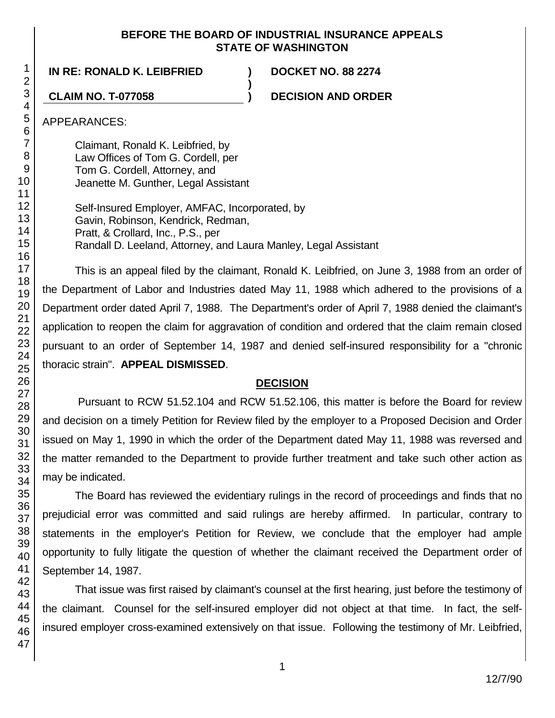## **BEFORE THE BOARD OF INDUSTRIAL INSURANCE APPEALS STATE OF WASHINGTON**

**)**

**IN RE: RONALD K. LEIBFRIED ) DOCKET NO. 88 2274**

**CLAIM NO. T-077058 ) DECISION AND ORDER**

APPEARANCES:

Claimant, Ronald K. Leibfried, by Law Offices of Tom G. Cordell, per Tom G. Cordell, Attorney, and Jeanette M. Gunther, Legal Assistant

Self-Insured Employer, AMFAC, Incorporated, by Gavin, Robinson, Kendrick, Redman, Pratt, & Crollard, Inc., P.S., per Randall D. Leeland, Attorney, and Laura Manley, Legal Assistant

This is an appeal filed by the claimant, Ronald K. Leibfried, on June 3, 1988 from an order of the Department of Labor and Industries dated May 11, 1988 which adhered to the provisions of a Department order dated April 7, 1988. The Department's order of April 7, 1988 denied the claimant's application to reopen the claim for aggravation of condition and ordered that the claim remain closed pursuant to an order of September 14, 1987 and denied self-insured responsibility for a "chronic thoracic strain". **APPEAL DISMISSED**.

# **DECISION**

Pursuant to RCW 51.52.104 and RCW 51.52.106, this matter is before the Board for review and decision on a timely Petition for Review filed by the employer to a Proposed Decision and Order issued on May 1, 1990 in which the order of the Department dated May 11, 1988 was reversed and the matter remanded to the Department to provide further treatment and take such other action as may be indicated.

The Board has reviewed the evidentiary rulings in the record of proceedings and finds that no prejudicial error was committed and said rulings are hereby affirmed. In particular, contrary to statements in the employer's Petition for Review, we conclude that the employer had ample opportunity to fully litigate the question of whether the claimant received the Department order of September 14, 1987.

That issue was first raised by claimant's counsel at the first hearing, just before the testimony of the claimant. Counsel for the self-insured employer did not object at that time. In fact, the selfinsured employer cross-examined extensively on that issue. Following the testimony of Mr. Leibfried,

1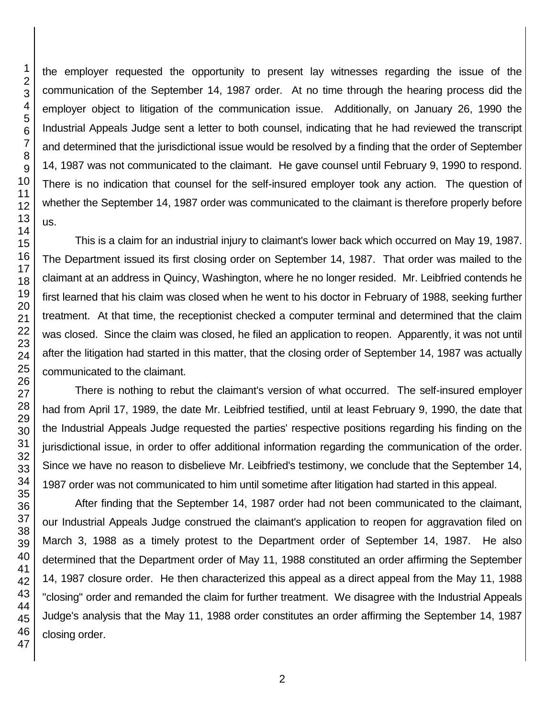the employer requested the opportunity to present lay witnesses regarding the issue of the communication of the September 14, 1987 order. At no time through the hearing process did the employer object to litigation of the communication issue. Additionally, on January 26, 1990 the Industrial Appeals Judge sent a letter to both counsel, indicating that he had reviewed the transcript and determined that the jurisdictional issue would be resolved by a finding that the order of September 14, 1987 was not communicated to the claimant. He gave counsel until February 9, 1990 to respond. There is no indication that counsel for the self-insured employer took any action. The question of whether the September 14, 1987 order was communicated to the claimant is therefore properly before

This is a claim for an industrial injury to claimant's lower back which occurred on May 19, 1987. The Department issued its first closing order on September 14, 1987. That order was mailed to the claimant at an address in Quincy, Washington, where he no longer resided. Mr. Leibfried contends he first learned that his claim was closed when he went to his doctor in February of 1988, seeking further treatment. At that time, the receptionist checked a computer terminal and determined that the claim was closed. Since the claim was closed, he filed an application to reopen. Apparently, it was not until after the litigation had started in this matter, that the closing order of September 14, 1987 was actually communicated to the claimant.

There is nothing to rebut the claimant's version of what occurred. The self-insured employer had from April 17, 1989, the date Mr. Leibfried testified, until at least February 9, 1990, the date that the Industrial Appeals Judge requested the parties' respective positions regarding his finding on the jurisdictional issue, in order to offer additional information regarding the communication of the order. Since we have no reason to disbelieve Mr. Leibfried's testimony, we conclude that the September 14, 1987 order was not communicated to him until sometime after litigation had started in this appeal.

After finding that the September 14, 1987 order had not been communicated to the claimant, our Industrial Appeals Judge construed the claimant's application to reopen for aggravation filed on March 3, 1988 as a timely protest to the Department order of September 14, 1987. He also determined that the Department order of May 11, 1988 constituted an order affirming the September 14, 1987 closure order. He then characterized this appeal as a direct appeal from the May 11, 1988 "closing" order and remanded the claim for further treatment. We disagree with the Industrial Appeals Judge's analysis that the May 11, 1988 order constitutes an order affirming the September 14, 1987 closing order.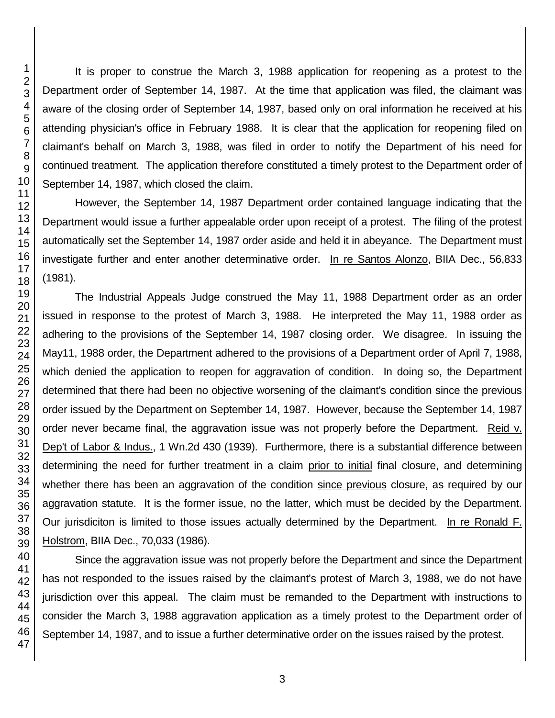It is proper to construe the March 3, 1988 application for reopening as a protest to the Department order of September 14, 1987. At the time that application was filed, the claimant was aware of the closing order of September 14, 1987, based only on oral information he received at his attending physician's office in February 1988. It is clear that the application for reopening filed on claimant's behalf on March 3, 1988, was filed in order to notify the Department of his need for continued treatment. The application therefore constituted a timely protest to the Department order of September 14, 1987, which closed the claim.

However, the September 14, 1987 Department order contained language indicating that the Department would issue a further appealable order upon receipt of a protest. The filing of the protest automatically set the September 14, 1987 order aside and held it in abeyance. The Department must investigate further and enter another determinative order. In re Santos Alonzo, BIIA Dec., 56,833 (1981).

The Industrial Appeals Judge construed the May 11, 1988 Department order as an order issued in response to the protest of March 3, 1988. He interpreted the May 11, 1988 order as adhering to the provisions of the September 14, 1987 closing order. We disagree. In issuing the May11, 1988 order, the Department adhered to the provisions of a Department order of April 7, 1988, which denied the application to reopen for aggravation of condition. In doing so, the Department determined that there had been no objective worsening of the claimant's condition since the previous order issued by the Department on September 14, 1987. However, because the September 14, 1987 order never became final, the aggravation issue was not properly before the Department. Reid v. Dep't of Labor & Indus., 1 Wn.2d 430 (1939). Furthermore, there is a substantial difference between determining the need for further treatment in a claim prior to initial final closure, and determining whether there has been an aggravation of the condition since previous closure, as required by our aggravation statute. It is the former issue, no the latter, which must be decided by the Department. Our jurisdiciton is limited to those issues actually determined by the Department. In re Ronald F. Holstrom, BIIA Dec., 70,033 (1986).

Since the aggravation issue was not properly before the Department and since the Department has not responded to the issues raised by the claimant's protest of March 3, 1988, we do not have jurisdiction over this appeal. The claim must be remanded to the Department with instructions to consider the March 3, 1988 aggravation application as a timely protest to the Department order of September 14, 1987, and to issue a further determinative order on the issues raised by the protest.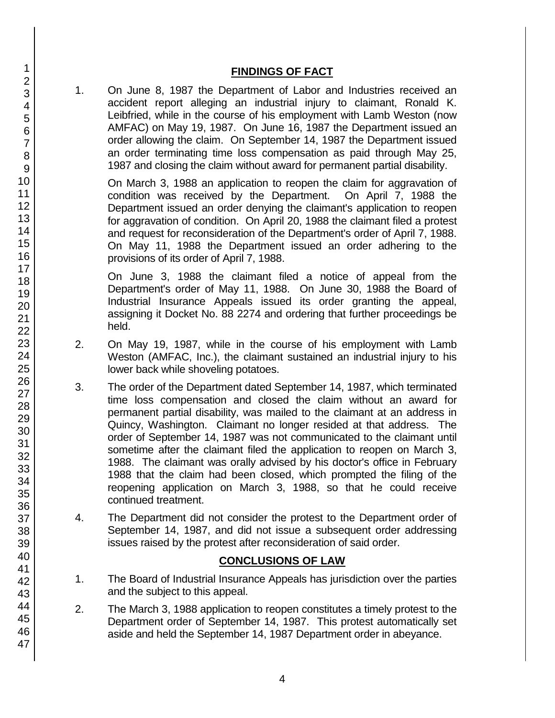## **FINDINGS OF FACT**

1. On June 8, 1987 the Department of Labor and Industries received an accident report alleging an industrial injury to claimant, Ronald K. Leibfried, while in the course of his employment with Lamb Weston (now AMFAC) on May 19, 1987. On June 16, 1987 the Department issued an order allowing the claim. On September 14, 1987 the Department issued an order terminating time loss compensation as paid through May 25, 1987 and closing the claim without award for permanent partial disability.

On March 3, 1988 an application to reopen the claim for aggravation of condition was received by the Department. On April 7, 1988 the Department issued an order denying the claimant's application to reopen for aggravation of condition. On April 20, 1988 the claimant filed a protest and request for reconsideration of the Department's order of April 7, 1988. On May 11, 1988 the Department issued an order adhering to the provisions of its order of April 7, 1988.

On June 3, 1988 the claimant filed a notice of appeal from the Department's order of May 11, 1988. On June 30, 1988 the Board of Industrial Insurance Appeals issued its order granting the appeal, assigning it Docket No. 88 2274 and ordering that further proceedings be held.

- 2. On May 19, 1987, while in the course of his employment with Lamb Weston (AMFAC, Inc.), the claimant sustained an industrial injury to his lower back while shoveling potatoes.
- 3. The order of the Department dated September 14, 1987, which terminated time loss compensation and closed the claim without an award for permanent partial disability, was mailed to the claimant at an address in Quincy, Washington. Claimant no longer resided at that address. The order of September 14, 1987 was not communicated to the claimant until sometime after the claimant filed the application to reopen on March 3, 1988. The claimant was orally advised by his doctor's office in February 1988 that the claim had been closed, which prompted the filing of the reopening application on March 3, 1988, so that he could receive continued treatment.
- 4. The Department did not consider the protest to the Department order of September 14, 1987, and did not issue a subsequent order addressing issues raised by the protest after reconsideration of said order.

# **CONCLUSIONS OF LAW**

- 1. The Board of Industrial Insurance Appeals has jurisdiction over the parties and the subject to this appeal.
- 2. The March 3, 1988 application to reopen constitutes a timely protest to the Department order of September 14, 1987. This protest automatically set aside and held the September 14, 1987 Department order in abeyance.
- 1 2 3 4 5 6 7 8 9 10 11 12 13 14 15 16 17 18 19 20 21 22 23 24 25 26 27 28 29 30 31 32 33 34 35 36 37 38 39 40 41 42 43 44 45 46 47